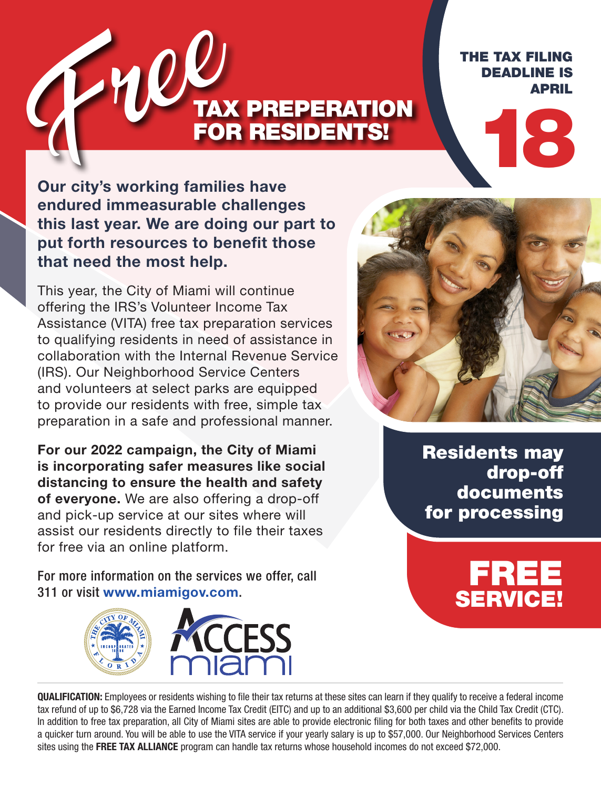# TAX PREPERATION FOR RESIDENTS! Free

THE TAX FILING DEADLINE IS APRIL

18

**Our city's working families have endured immeasurable challenges this last year. We are doing our part to put forth resources to benefit those that need the most help.**

This year, the City of Miami will continue offering the IRS's Volunteer Income Tax Assistance (VITA) free tax preparation services to qualifying residents in need of assistance in collaboration with the Internal Revenue Service (IRS). Our Neighborhood Service Centers and volunteers at select parks are equipped to provide our residents with free, simple tax preparation in a safe and professional manner.

**For our 2022 campaign, the City of Miami is incorporating safer measures like social distancing to ensure the health and safety of everyone.** We are also offering a drop-off and pick-up service at our sites where will assist our residents directly to file their taxes for free via an online platform.

For more information on the services we offer, call 311 or visit **www.miamigov.com**.



Residents may drop-off documents for processing

FREE

SERVICE!

**QUALIFICATION:** Employees or residents wishing to file their tax returns at these sites can learn if they qualify to receive a federal income tax refund of up to \$6,728 via the Earned Income Tax Credit (EITC) and up to an additional \$3,600 per child via the Child Tax Credit (CTC). In addition to free tax preparation, all City of Miami sites are able to provide electronic filing for both taxes and other benefits to provide a quicker turn around. You will be able to use the VITA service if your yearly salary is up to \$57,000. Our Neighborhood Services Centers sites using the **FREE TAX ALLIANCE** program can handle tax returns whose household incomes do not exceed \$72,000.